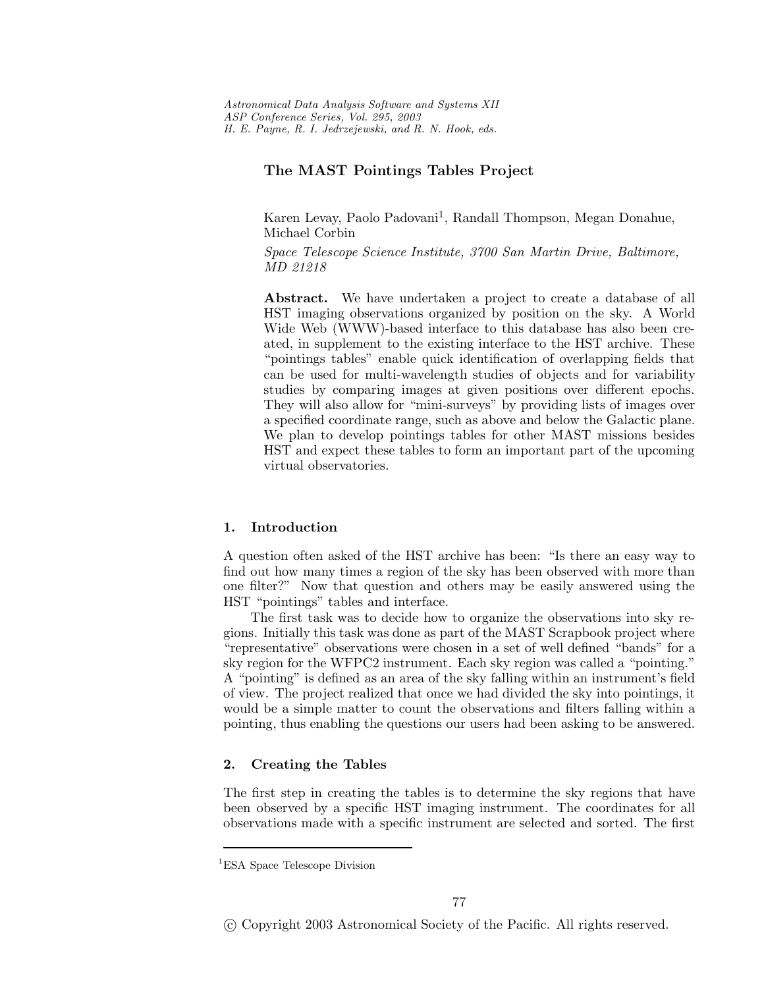*Astronomical Data Analysis Software and Systems XII ASP Conference Series, Vol. 295, 2003 H. E. Payne, R. I. Jedrzejewski, and R. N. Hook, eds.*

## **The MAST Pointings Tables Project**

Karen Levay, Paolo Padovani<sup>1</sup>, Randall Thompson, Megan Donahue, Michael Corbin

*Space Telescope Science Institute, 3700 San Martin Drive, Baltimore, MD 21218*

**Abstract.** We have undertaken a project to create a database of all HST imaging observations organized by position on the sky. A World Wide Web (WWW)-based interface to this database has also been created, in supplement to the existing interface to the HST archive. These "pointings tables" enable quick identification of overlapping fields that can be used for multi-wavelength studies of objects and for variability studies by comparing images at given positions over different epochs. They will also allow for "mini-surveys" by providing lists of images over a specified coordinate range, such as above and below the Galactic plane. We plan to develop pointings tables for other MAST missions besides HST and expect these tables to form an important part of the upcoming virtual observatories.

#### **1. Introduction**

A question often asked of the HST archive has been: "Is there an easy way to find out how many times a region of the sky has been observed with more than one filter?" Now that question and others may be easily answered using the HST "pointings" tables and interface.

The first task was to decide how to organize the observations into sky regions. Initially this task was done as part ofthe MAST Scrapbook project where "representative" observations were chosen in a set ofwell defined "bands" for a sky region for the WFPC2 instrument. Each sky region was called a "pointing." A "pointing" is defined as an area of the sky falling within an instrument's field of view. The project realized that once we had divided the sky into pointings, it would be a simple matter to count the observations and filters falling within a pointing, thus enabling the questions our users had been asking to be answered.

### **2. Creating the Tables**

The first step in creating the tables is to determine the sky regions that have been observed by a specific HST imaging instrument. The coordinates for all observations made with a specific instrument are selected and sorted. The first

<sup>&</sup>lt;sup>1</sup>ESA Space Telescope Division

c Copyright 2003 Astronomical Society ofthe Pacific. All rights reserved.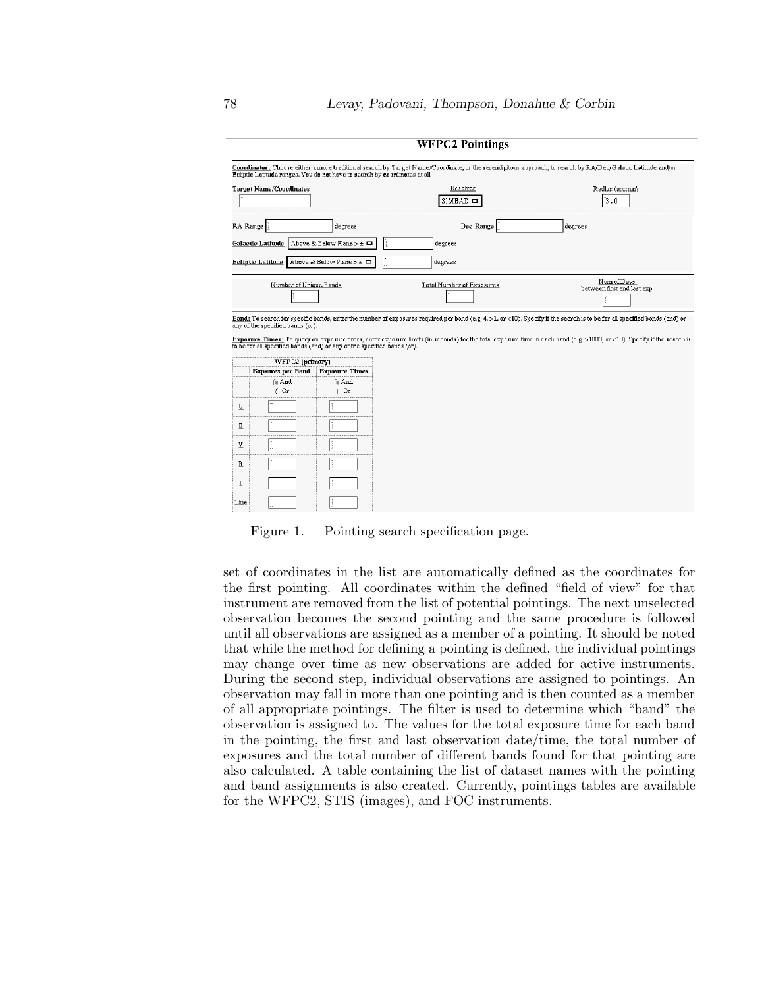$\overline{m}$ 

|                                                                                                                                                                                                                                          | WFPC2 Pointings                     |                                            |
|------------------------------------------------------------------------------------------------------------------------------------------------------------------------------------------------------------------------------------------|-------------------------------------|--------------------------------------------|
| Coordinates: Choose either a more traditional search by Target Name/Coordinate, or the serendipitous approach, to search by RA/Dec/Galatic Latitude and/or<br>Ecliptic Latitude ranges. You do not have to search by coordinates at all. |                                     |                                            |
| <b>Target Name/Coordinates</b>                                                                                                                                                                                                           | Resolver<br>$SIMBAD$ $\blacksquare$ | Radius (arcmin)<br>3.0                     |
| RA Range<br>degrees                                                                                                                                                                                                                      | Dec Range                           | degrees                                    |
| Above & Below Plane > ±<br><b>Galactic Latitude</b>                                                                                                                                                                                      | degrees                             |                                            |
| Above & Below Plane $> \pm \Box$<br>Ecliptic Latitude                                                                                                                                                                                    | degrees                             |                                            |
| Number of Unique Bands                                                                                                                                                                                                                   | <b>Total Number of Exposures</b>    | Num of Days<br>between first and last exp. |
| Band: To search for specific bands, enter the number of exposures required per band (e.g. 4, >1, or <10). Specify if the search is to be for all specified bands (and) or<br>any of the specified hands (or)                             |                                     |                                            |



| WFPC2 (primary) |                                         |                |  |  |  |  |  |  |
|-----------------|-----------------------------------------|----------------|--|--|--|--|--|--|
|                 | <b>Expsures per Band</b> Exposure Times |                |  |  |  |  |  |  |
|                 | (#And<br>$\in$ Or                       | (⊪ And<br>r Or |  |  |  |  |  |  |
| U               |                                         |                |  |  |  |  |  |  |
| в               |                                         |                |  |  |  |  |  |  |
|                 |                                         |                |  |  |  |  |  |  |
| R               | <b>CONTRACTOR</b>                       |                |  |  |  |  |  |  |
|                 | -------                                 |                |  |  |  |  |  |  |
| Line            |                                         |                |  |  |  |  |  |  |

Figure 1. Pointing search specification page.

set of coordinates in the list are automatically defined as the coordinates for the first pointing. All coordinates within the defined "field of view" for that instrument are removed from the list of potential pointings. The next unselected observation becomes the second pointing and the same procedure is followed until all observations are assigned as a member of a pointing. It should be noted that while the method for defining a pointing is defined, the individual pointings may change over time as new observations are added for active instruments. During the second step, individual observations are assigned to pointings. An observation may fall in more than one pointing and is then counted as a member ofall appropriate pointings. The filter is used to determine which "band" the observation is assigned to. The values for the total exposure time for each band in the pointing, the first and last observation date/time, the total number of exposures and the total number of different bands found for that pointing are also calculated. A table containing the list of dataset names with the pointing and band assignments is also created. Currently, pointings tables are available for the WFPC2, STIS (images), and FOC instruments.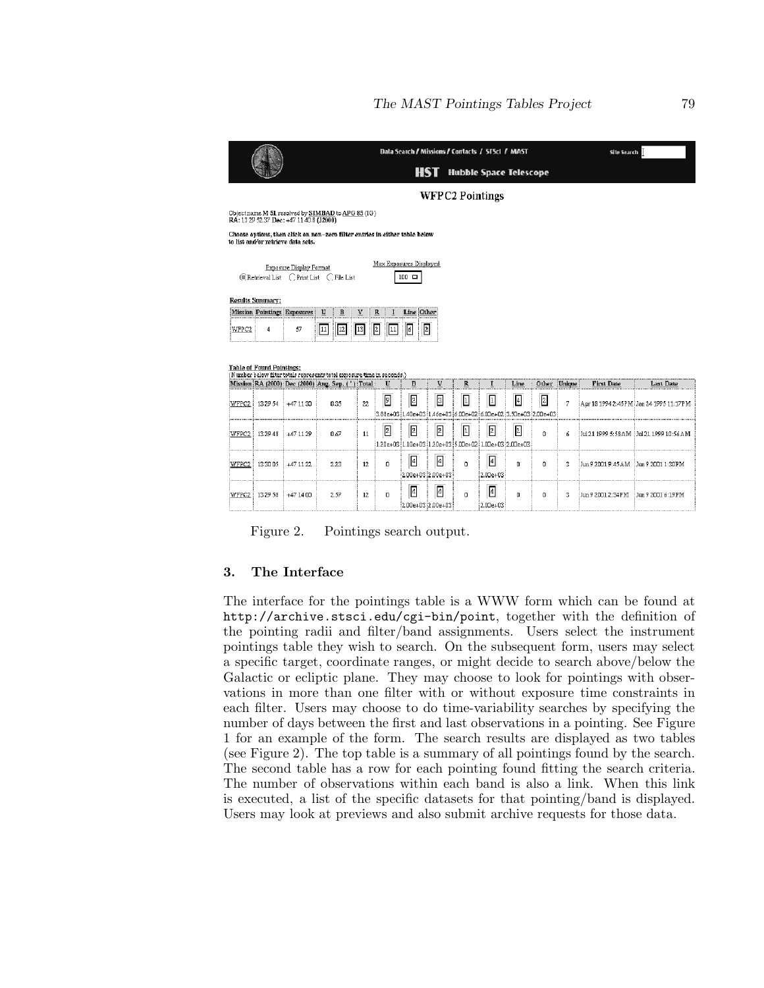| Data Search / Missions / Contacts / STScI / MAST | Site Search |
|--------------------------------------------------|-------------|
| <b>HST</b> Hubble Space Telescope                |             |
| <b>WFPC2 Pointings</b>                           |             |

Object name M 51 resolved by **SIMBAD** to **APG 85** (IG)<br>RA: 13 29 52.37 Dec: +47 11 40.8 (J2000)

Choose options, then click on non-zero filter entries in either table below<br>to list and/or retrieve data sets.

|                                                                   | Exposure Display Format | Max Exposures Displayed |
|-------------------------------------------------------------------|-------------------------|-------------------------|
| $\bigcap$ Retrieval List $\bigcap$ Print List $\bigcap$ File List |                         | $100 = 1$               |

| Results Summary:              |  |
|-------------------------------|--|
| Micrian Daintings Fenomena II |  |

|  | Mission Pointings Exposures |  |  |                         | Line Other |
|--|-----------------------------|--|--|-------------------------|------------|
|  |                             |  |  | 13     13     13     13 |            |

|  |  | Table of Found Pointings: |  |  |
|--|--|---------------------------|--|--|
|  |  |                           |  |  |

|         | Number pelow miter totals represents total exposure ume in seconds. |           |                                                  |    |                |                                                                                                 |             |   |                            |             |                |              |                                       |                                          |
|---------|---------------------------------------------------------------------|-----------|--------------------------------------------------|----|----------------|-------------------------------------------------------------------------------------------------|-------------|---|----------------------------|-------------|----------------|--------------|---------------------------------------|------------------------------------------|
|         |                                                                     |           | Mission RA (2000) Dec (2000) Ang. Sep. (') Total |    |                | R                                                                                               |             | R |                            | Line        |                | Other Unique | <b>First Date</b>                     | Last Date                                |
| WFPC2 I | 1329 54                                                             | $+471130$ | 0.35                                             | 22 | 9              | $\overline{2}$<br>$3.88e+03$ $1.40e+03$ $1.46e+03$ $16.00e+02$ $6.00e+02$ $3.50e+03$ $2.00e+03$ | β           |   |                            | <b>A</b>    | $\overline{2}$ |              |                                       | Apr 18 1994 2:45 PM Jan 24 1995 11:17 PM |
| WFPC2   | 132948                                                              | +47 11 29 | 0.67                                             | 11 | $\overline{2}$ | $\boxed{2}$<br>1.20e+03 1.10e+03 1.20e+03 3.00e+02 1.00e+03 2.00e+03                            | $\boxed{2}$ |   | 囨                          | $\boxed{2}$ | n              | Á            |                                       | Hul 21 1999 5:58 AM Hul 21 1999 10:56 AM |
| WFPC2   | 133005                                                              | $+471122$ | 2.23                                             | 12 | n.             | $\boxed{4}$<br>i2.00e+03.2.00e+031                                                              | $\boxed{4}$ | n | $\sqrt{4}$<br>$ 2.00e+03 $ |             | n              | ۹            | Tun 9 2001 9:45 AM Tun 9 2001 1:30 PM |                                          |
| WFPC2   | 132958                                                              | $+471400$ | 2.57                                             | 12 | n              | $\overline{a}$<br>12.00e+0312.00e+031                                                           | $\boxed{4}$ | n | 回<br>2.00e+03              |             | n              | ٩            | Jun 9 2001 2:34 PM                    | Tun 9 2001 6:19 PM                       |

Figure 2. Pointings search output.

### **3. The Interface**

The interface for the pointings table is a WWW form which can be found at http://archive.stsci.edu/cgi-bin/point, together with the definition of the pointing radii and filter/band assignments. Users select the instrument pointings table they wish to search. On the subsequent form, users may select a specific target, coordinate ranges, or might decide to search above/below the Galactic or ecliptic plane. They may choose to look for pointings with observations in more than one filter with or without exposure time constraints in each filter. Users may choose to do time-variability searches by specifying the number of days between the first and last observations in a pointing. See Figure 1 for an example of the form. The search results are displayed as two tables (see Figure 2). The top table is a summary of all pointings found by the search. The second table has a row for each pointing found fitting the search criteria. The number of observations within each band is also a link. When this link is executed, a list of the specific datasets for that pointing/band is displayed. Users may look at previews and also submit archive requests for those data.